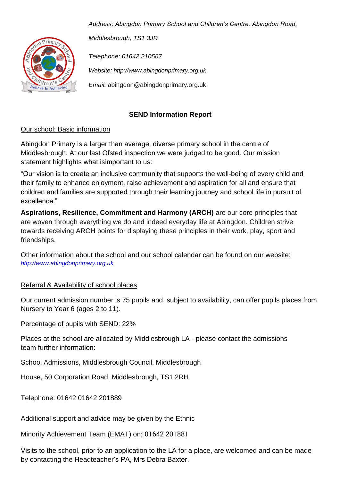

*Address: Abingdon Primary School and Children's Centre, Abingdon Road,* 

*Middlesbrough, TS1 3JR*

*Telephone: 01642 210567 Website: http://www.abingdonprimary.org.uk Email:* abingdon@abingdonprimary.org.uk

# **SEND Information Report**

## Our school: Basic information

Abingdon Primary is a larger than average, diverse primary school in the centre of Middlesbrough. At our last Ofsted inspection we were judged to be good. Our mission statement highlights what isimportant to us:

"Our vision is to create an inclusive community that supports the well-being of every child and their family to enhance enjoyment, raise achievement and aspiration for all and ensure that children and families are supported through their learning journey and school life in pursuit of excellence."

**Aspirations, Resilience, Commitment and Harmony (ARCH)** are our core principles that are woven through everything we do and indeed everyday life at Abingdon. Children strive towards receiving ARCH points for displaying these principles in their work, play, sport and friendships.

Other information about the school and our school calendar can be found on our website: *[http://www.abingdonprimary.org.uk](http://www.abingdonprimary.org.uk/)*

# Referral & Availability of school places

Our current admission number is 75 pupils and, subject to availability, can offer pupils places from Nursery to Year 6 (ages 2 to 11).

Percentage of pupils with SEND: 22%

Places at the school are allocated by Middlesbrough LA - please contact the admissions team further information:

School Admissions, Middlesbrough Council, Middlesbrough

House, 50 Corporation Road, Middlesbrough, TS1 2RH

Telephone: 01642 01642 201889

Additional support and advice may be given by the Ethnic

Minority Achievement Team (EMAT) on; 01642 201881

Visits to the school, prior to an application to the LA for a place, are welcomed and can be made by contacting the Headteacher's PA, Mrs Debra Baxter.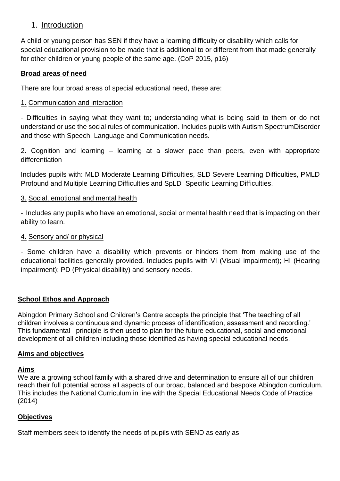# 1. Introduction

A child or young person has SEN if they have a learning difficulty or disability which calls for special educational provision to be made that is additional to or different from that made generally for other children or young people of the same age. (CoP 2015, p16)

### **Broad areas of need**

There are four broad areas of special educational need, these are:

### 1. Communication and interaction

- Difficulties in saying what they want to; understanding what is being said to them or do not understand or use the social rules of communication. Includes pupils with Autism SpectrumDisorder and those with Speech, Language and Communication needs.

2. Cognition and learning – learning at a slower pace than peers, even with appropriate differentiation

Includes pupils with: MLD Moderate Learning Difficulties, SLD Severe Learning Difficulties, PMLD Profound and Multiple Learning Difficulties and SpLD Specific Learning Difficulties.

## 3. Social, emotional and mental health

- Includes any pupils who have an emotional, social or mental health need that is impacting on their ability to learn.

### 4. Sensory and/ or physical

- Some children have a disability which prevents or hinders them from making use of the educational facilities generally provided. Includes pupils with VI (Visual impairment); HI (Hearing impairment); PD (Physical disability) and sensory needs.

### **School Ethos and Approach**

Abingdon Primary School and Children's Centre accepts the principle that 'The teaching of all children involves a continuous and dynamic process of identification, assessment and recording.' This fundamental principle is then used to plan for the future educational, social and emotional development of all children including those identified as having special educational needs.

### **Aims and objectives**

### **Aims**

We are a growing school family with a shared drive and determination to ensure all of our children reach their full potential across all aspects of our broad, balanced and bespoke Abingdon curriculum. This includes the National Curriculum in line with the Special Educational Needs Code of Practice (2014)

### **Objectives**

Staff members seek to identify the needs of pupils with SEND as early as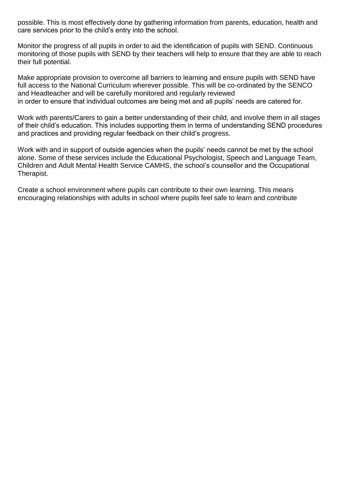possible. This is most effectively done by gathering information from parents, education, health and care services prior to the child's entry into the school.

Monitor the progress of all pupils in order to aid the identification of pupils with SEND. Continuous monitoring of those pupils with SEND by their teachers will help to ensure that they are able to reach their full potential.

Make appropriate provision to overcome all barriers to learning and ensure pupils with SEND have full access to the National Curriculum wherever possible. This will be co-ordinated by the SENCO and Headteacher and will be carefully monitored and regularly reviewed in order to ensure that individual outcomes are being met and all pupils' needs are catered for.

Work with parents/Carers to gain a better understanding of their child, and involve them in all stages of their child's education. This includes supporting them in terms of understanding SEND procedures and practices and providing regular feedback on their child's progress.

Work with and in support of outside agencies when the pupils' needs cannot be met by the school alone. Some of these services include the Educational Psychologist, Speech and Language Team, Children and Adult Mental Health Service CAMHS, the school's counsellor and the Occupational Therapist.

Create a school environment where pupils can contribute to their own learning. This means encouraging relationships with adults in school where pupils feel safe to learn and contribute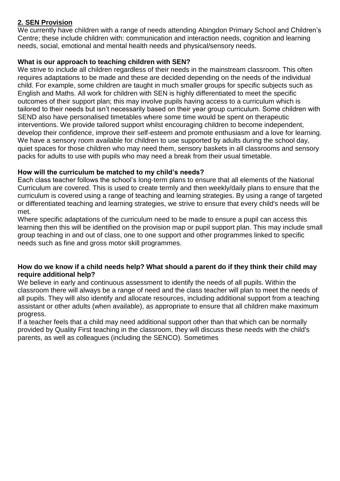# **2. SEN Provision**

We currently have children with a range of needs attending Abingdon Primary School and Children's Centre; these include children with: communication and interaction needs, cognition and learning needs, social, emotional and mental health needs and physical/sensory needs.

### **What is our approach to teaching children with SEN?**

We strive to include all children regardless of their needs in the mainstream classroom. This often requires adaptations to be made and these are decided depending on the needs of the individual child. For example, some children are taught in much smaller groups for specific subjects such as English and Maths. All work for children with SEN is highly differentiated to meet the specific outcomes of their support plan; this may involve pupils having access to a curriculum which is tailored to their needs but isn't necessarily based on their year group curriculum. Some children with SEND also have personalised timetables where some time would be spent on therapeutic interventions. We provide tailored support whilst encouraging children to become independent, develop their confidence, improve their self-esteem and promote enthusiasm and a love for learning. We have a sensory room available for children to use supported by adults during the school day, quiet spaces for those children who may need them, sensory baskets in all classrooms and sensory packs for adults to use with pupils who may need a break from their usual timetable.

## **How will the curriculum be matched to my child's needs?**

Each class teacher follows the school's long-term plans to ensure that all elements of the National Curriculum are covered. This is used to create termly and then weekly/daily plans to ensure that the curriculum is covered using a range of teaching and learning strategies. By using a range of targeted or differentiated teaching and learning strategies, we strive to ensure that every child's needs will be met.

Where specific adaptations of the curriculum need to be made to ensure a pupil can access this learning then this will be identified on the provision map or pupil support plan. This may include small group teaching in and out of class, one to one support and other programmes linked to specific needs such as fine and gross motor skill programmes.

#### **How do we know if a child needs help? What should a parent do if they think their child may require additional help?**

We believe in early and continuous assessment to identify the needs of all pupils. Within the classroom there will always be a range of need and the class teacher will plan to meet the needs of all pupils. They will also identify and allocate resources, including additional support from a teaching assistant or other adults (when available), as appropriate to ensure that all children make maximum progress.

If a teacher feels that a child may need additional support other than that which can be normally provided by Quality First teaching in the classroom, they will discuss these needs with the child's parents, as well as colleagues (including the SENCO). Sometimes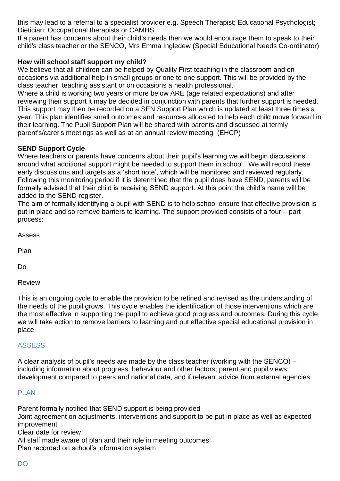this may lead to a referral to a specialist provider e.g. Speech Therapist; Educational Psychologist; Dietician; Occupational therapists or CAMHS.

If a parent has concerns about their child's needs then we would encourage them to speak to their child's class teacher or the SENCO, Mrs Emma Ingledew (Special Educational Needs Co-ordinator)

### **How will school staff support my child?**

We believe that all children can be helped by Quality First teaching in the classroom and on occasions via additional help in small groups or one to one support. This will be provided by the class teacher, teaching assistant or on occasions a health professional.

Where a child is working two years or more below ARE (age related expectations) and after reviewing their support it may be decided in conjunction with parents that further support is needed. This support may then be recorded on a SEN Support Plan which is updated at least three times a year. This plan identifies small outcomes and resources allocated to help each child move forward in their learning. The Pupil Support Plan will be shared with parents and discussed at termly parent's/carer's meetings as well as at an annual review meeting. (EHCP)

## **SEND Support Cycle**

Where teachers or parents have concerns about their pupil's learning we will begin discussions around what additional support might be needed to support them in school. We will record these early discussions and targets as a 'short note', which will be monitored and reviewed regularly. Following this monitoring period if it is determined that the pupil does have SEND, parents will be formally advised that their child is receiving SEND support. At this point the child's name will be added to the SEND register.

The aim of formally identifying a pupil with SEND is to help school ensure that effective provision is put in place and so remove barriers to learning. The support provided consists of a four – part process:

Assess

Plan

Do

Review

This is an ongoing cycle to enable the provision to be refined and revised as the understanding of the needs of the pupil grows. This cycle enables the identification of those interventions which are the most effective in supporting the pupil to achieve good progress and outcomes. During this cycle we will take action to remove barriers to learning and put effective special educational provision in place.

### **ASSESS**

A clear analysis of pupil's needs are made by the class teacher (working with the SENCO) – including information about progress, behaviour and other factors; parent and pupil views; development compared to peers and national data, and if relevant advice from external agencies.

### PLAN

Parent formally notified that SEND support is being provided Joint agreement on adjustments, interventions and support to be put in place as well as expected improvement Clear date for review All staff made aware of plan and their role in meeting outcomes Plan recorded on school's information system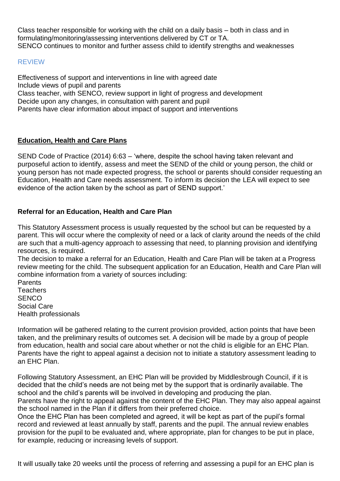Class teacher responsible for working with the child on a daily basis – both in class and in formulating/monitoring/assessing interventions delivered by CT or TA. SENCO continues to monitor and further assess child to identify strengths and weaknesses

#### REVIEW

Effectiveness of support and interventions in line with agreed date Include views of pupil and parents Class teacher, with SENCO, review support in light of progress and development Decide upon any changes, in consultation with parent and pupil Parents have clear information about impact of support and interventions

#### **Education, Health and Care Plans**

SEND Code of Practice (2014) 6:63 – 'where, despite the school having taken relevant and purposeful action to identify, assess and meet the SEND of the child or young person, the child or young person has not made expected progress, the school or parents should consider requesting an Education, Health and Care needs assessment. To inform its decision the LEA will expect to see evidence of the action taken by the school as part of SEND support.'

### **Referral for an Education, Health and Care Plan**

This Statutory Assessment process is usually requested by the school but can be requested by a parent. This will occur where the complexity of need or a lack of clarity around the needs of the child are such that a multi-agency approach to assessing that need, to planning provision and identifying resources, is required.

The decision to make a referral for an Education, Health and Care Plan will be taken at a Progress review meeting for the child. The subsequent application for an Education, Health and Care Plan will combine information from a variety of sources including:

Parents **Teachers SENCO** Social Care Health professionals

Information will be gathered relating to the current provision provided, action points that have been taken, and the preliminary results of outcomes set. A decision will be made by a group of people from education, health and social care about whether or not the child is eligible for an EHC Plan. Parents have the right to appeal against a decision not to initiate a statutory assessment leading to an EHC Plan.

Following Statutory Assessment, an EHC Plan will be provided by Middlesbrough Council, if it is decided that the child's needs are not being met by the support that is ordinarily available. The school and the child's parents will be involved in developing and producing the plan. Parents have the right to appeal against the content of the EHC Plan. They may also appeal against the school named in the Plan if it differs from their preferred choice.

Once the EHC Plan has been completed and agreed, it will be kept as part of the pupil's formal record and reviewed at least annually by staff, parents and the pupil. The annual review enables provision for the pupil to be evaluated and, where appropriate, plan for changes to be put in place, for example, reducing or increasing levels of support.

It will usually take 20 weeks until the process of referring and assessing a pupil for an EHC plan is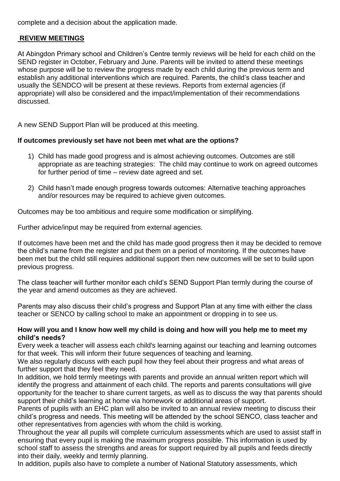complete and a decision about the application made.

#### **REVIEW MEETINGS**

At Abingdon Primary school and Children's Centre termly reviews will be held for each child on the SEND register in October, February and June. Parents will be invited to attend these meetings whose purpose will be to review the progress made by each child during the previous term and establish any additional interventions which are required. Parents, the child's class teacher and usually the SENDCO will be present at these reviews. Reports from external agencies (if appropriate) will also be considered and the impact/implementation of their recommendations discussed.

A new SEND Support Plan will be produced at this meeting.

#### **If outcomes previously set have not been met what are the options?**

- 1) Child has made good progress and is almost achieving outcomes. Outcomes are still appropriate as are teaching strategies: The child may continue to work on agreed outcomes for further period of time – review date agreed and set.
- 2) Child hasn't made enough progress towards outcomes: Alternative teaching approaches and/or resources may be required to achieve given outcomes.

Outcomes may be too ambitious and require some modification or simplifying.

Further advice/input may be required from external agencies.

If outcomes have been met and the child has made good progress then it may be decided to remove the child's name from the register and put them on a period of monitoring. If the outcomes have been met but the child still requires additional support then new outcomes will be set to build upon previous progress.

The class teacher will further monitor each child's SEND Support Plan termly during the course of the year and amend outcomes as they are achieved.

Parents may also discuss their child's progress and Support Plan at any time with either the class teacher or SENCO by calling school to make an appointment or dropping in to see us.

#### **How will you and I know how well my child is doing and how will you help me to meet my child's needs?**

Every week a teacher will assess each child's learning against our teaching and learning outcomes for that week. This will inform their future sequences of teaching and learning.

We also regularly discuss with each pupil how they feel about their progress and what areas of further support that they feel they need.

In addition, we hold termly meetings with parents and provide an annual written report which will identify the progress and attainment of each child. The reports and parents consultations will give opportunity for the teacher to share current targets, as well as to discuss the way that parents should support their child's learning at home via homework or additional areas of support.

Parents of pupils with an EHC plan will also be invited to an annual review meeting to discuss their child's progress and needs. This meeting will be attended by the school SENCO, class teacher and other representatives from agencies with whom the child is working.

Throughout the year all pupils will complete curriculum assessments which are used to assist staff in ensuring that every pupil is making the maximum progress possible. This information is used by school staff to assess the strengths and areas for support required by all pupils and feeds directly into their daily, weekly and termly planning.

In addition, pupils also have to complete a number of National Statutory assessments, which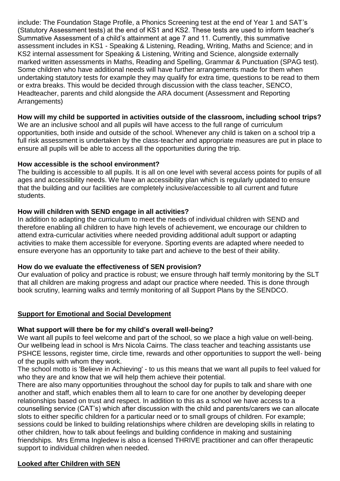include: The Foundation Stage Profile, a Phonics Screening test at the end of Year 1 and SAT's (Statutory Assessment tests) at the end of KS1 and KS2. These tests are used to inform teacher's Summative Assessment of a child's attainment at age 7 and 11. Currently, this summative assessment includes in KS1 - Speaking & Listening, Reading, Writing, Maths and Science; and in KS2 internal assessment for Speaking & Listening, Writing and Science, alongside externally marked written assessments in Maths, Reading and Spelling, Grammar & Punctuation (SPAG test). Some children who have additional needs will have further arrangements made for them when undertaking statutory tests for example they may qualify for extra time, questions to be read to them or extra breaks. This would be decided through discussion with the class teacher, SENCO, Headteacher, parents and child alongside the ARA document (Assessment and Reporting Arrangements)

### **How will my child be supported in activities outside of the classroom, including school trips?**

We are an inclusive school and all pupils will have access to the full range of curriculum opportunities, both inside and outside of the school. Whenever any child is taken on a school trip a full risk assessment is undertaken by the class-teacher and appropriate measures are put in place to ensure all pupils will be able to access all the opportunities during the trip.

#### **How accessible is the school environment?**

The building is accessible to all pupils. It is all on one level with several access points for pupils of all ages and accessibility needs. We have an accessibility plan which is regularly updated to ensure that the building and our facilities are completely inclusive/accessible to all current and future students.

#### **How will children with SEND engage in all activities?**

In addition to adapting the curriculum to meet the needs of individual children with SEND and therefore enabling all children to have high levels of achievement, we encourage our children to attend extra-curricular activities where needed providing additional adult support or adapting activities to make them accessible for everyone. Sporting events are adapted where needed to ensure everyone has an opportunity to take part and achieve to the best of their ability.

#### **How do we evaluate the effectiveness of SEN provision?**

Our evaluation of policy and practice is robust; we ensure through half termly monitoring by the SLT that all children are making progress and adapt our practice where needed. This is done through book scrutiny, learning walks and termly monitoring of all Support Plans by the SENDCO.

### **Support for Emotional and Social Development**

### **What support will there be for my child's overall well-being?**

We want all pupils to feel welcome and part of the school, so we place a high value on well-being. Our wellbeing lead in school is Mrs Nicola Cairns. The class teacher and teaching assistants use PSHCE lessons, register time, circle time, rewards and other opportunities to support the well- being of the pupils with whom they work.

The school motto is 'Believe in Achieving' - to us this means that we want all pupils to feel valued for who they are and know that we will help them achieve their potential.

There are also many opportunities throughout the school day for pupils to talk and share with one another and staff, which enables them all to learn to care for one another by developing deeper relationships based on trust and respect. In addition to this as a school we have access to a counselling service (CAT's) which after discussion with the child and parents/carers we can allocate slots to either specific children for a particular need or to small groups of children. For example; sessions could be linked to building relationships where children are developing skills in relating to other children, how to talk about feelings and building confidence in making and sustaining friendships. Mrs Emma Ingledew is also a licensed THRIVE practitioner and can offer therapeutic support to individual children when needed.

#### **Looked after Children with SEN**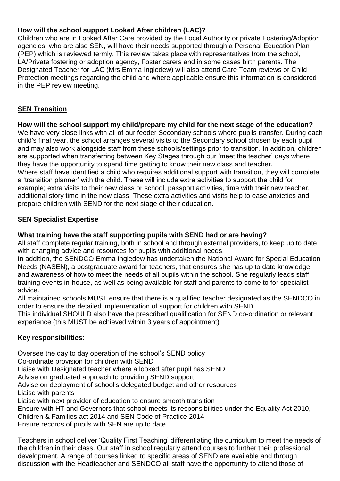## **How will the school support Looked After children (LAC)?**

Children who are in Looked After Care provided by the Local Authority or private Fostering/Adoption agencies, who are also SEN, will have their needs supported through a Personal Education Plan (PEP) which is reviewed termly. This review takes place with representatives from the school, LA/Private fostering or adoption agency, Foster carers and in some cases birth parents. The Designated Teacher for LAC (Mrs Emma Ingledew) will also attend Care Team reviews or Child Protection meetings regarding the child and where applicable ensure this information is considered in the PEP review meeting.

## **SEN Transition**

### **How will the school support my child/prepare my child for the next stage of the education?**

We have very close links with all of our feeder Secondary schools where pupils transfer. During each child's final year, the school arranges several visits to the Secondary school chosen by each pupil and may also work alongside staff from these schools/settings prior to transition. In addition, children are supported when transferring between Key Stages through our 'meet the teacher' days where they have the opportunity to spend time getting to know their new class and teacher. Where staff have identified a child who requires additional support with transition, they will complete a 'transition planner' with the child. These will include extra activities to support the child for example; extra visits to their new class or school, passport activities, time with their new teacher, additional story time in the new class. These extra activities and visits help to ease anxieties and prepare children with SEND for the next stage of their education.

#### **SEN Specialist Expertise**

#### **What training have the staff supporting pupils with SEND had or are having?**

All staff complete regular training, both in school and through external providers, to keep up to date with changing advice and resources for pupils with additional needs.

In addition, the SENDCO Emma Ingledew has undertaken the National Award for Special Education Needs (NASEN), a postgraduate award for teachers, that ensures she has up to date knowledge and awareness of how to meet the needs of all pupils within the school. She regularly leads staff training events in-house, as well as being available for staff and parents to come to for specialist advice.

All maintained schools MUST ensure that there is a qualified teacher designated as the SENDCO in order to ensure the detailed implementation of support for children with SEND.

This individual SHOULD also have the prescribed qualification for SEND co-ordination or relevant experience (this MUST be achieved within 3 years of appointment)

### **Key responsibilities**:

Oversee the day to day operation of the school's SEND policy Co-ordinate provision for children with SEND Liaise with Designated teacher where a looked after pupil has SEND Advise on graduated approach to providing SEND support Advise on deployment of school's delegated budget and other resources Liaise with parents Liaise with next provider of education to ensure smooth transition Ensure with HT and Governors that school meets its responsibilities under the Equality Act 2010, Children & Families act 2014 and SEN Code of Practice 2014

Ensure records of pupils with SEN are up to date

Teachers in school deliver 'Quality First Teaching' differentiating the curriculum to meet the needs of the children in their class. Our staff in school regularly attend courses to further their professional development. A range of courses linked to specific areas of SEND are available and through discussion with the Headteacher and SENDCO all staff have the opportunity to attend those of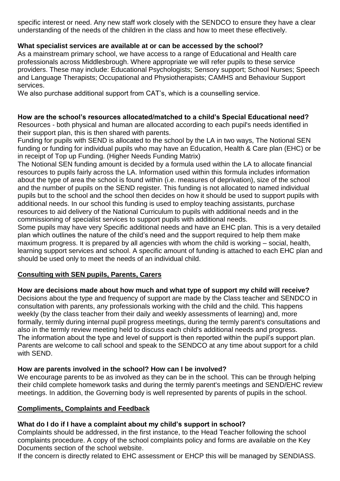specific interest or need. Any new staff work closely with the SENDCO to ensure they have a clear understanding of the needs of the children in the class and how to meet these effectively.

### **What specialist services are available at or can be accessed by the school?**

As a mainstream primary school, we have access to a range of Educational and Health care professionals across Middlesbrough. Where appropriate we will refer pupils to these service providers. These may include: Educational Psychologists; Sensory support; School Nurses; Speech and Language Therapists; Occupational and Physiotherapists; CAMHS and Behaviour Support services.

We also purchase additional support from CAT's, which is a counselling service.

## **How are the school's resources allocated/matched to a child's Special Educational need?**

Resources - both physical and human are allocated according to each pupil's needs identified in their support plan, this is then shared with parents.

Funding for pupils with SEND is allocated to the school by the LA in two ways, The Notional SEN funding or funding for individual pupils who may have an Education, Health & Care plan (EHC) or be in receipt of Top up Funding. (Higher Needs Funding Matrix)

The Notional SEN funding amount is decided by a formula used within the LA to allocate financial resources to pupils fairly across the LA. Information used within this formula includes information about the type of area the school is found within (i.e. measures of deprivation), size of the school and the number of pupils on the SEND register. This funding is not allocated to named individual pupils but to the school and the school then decides on how it should be used to support pupils with additional needs. In our school this funding is used to employ teaching assistants, purchase resources to aid delivery of the National Curriculum to pupils with additional needs and in the commissioning of specialist services to support pupils with additional needs.

Some pupils may have very Specific additional needs and have an EHC plan. This is a very detailed plan which outlines the nature of the child's need and the support required to help them make maximum progress. It is prepared by all agencies with whom the child is working – social, health, learning support services and school. A specific amount of funding is attached to each EHC plan and should be used only to meet the needs of an individual child.

### **Consulting with SEN pupils, Parents, Carers**

**How are decisions made about how much and what type of support my child will receive?**

Decisions about the type and frequency of support are made by the Class teacher and SENDCO in consultation with parents, any professionals working with the child and the child. This happens weekly (by the class teacher from their daily and weekly assessments of learning) and, more formally, termly during internal pupil progress meetings, during the termly parent's consultations and also in the termly review meeting held to discuss each child's additional needs and progress. The information about the type and level of support is then reported within the pupil's support plan. Parents are welcome to call school and speak to the SENDCO at any time about support for a child with SEND.

### **How are parents involved in the school? How can I be involved?**

We encourage parents to be as involved as they can be in the school. This can be through helping their child complete homework tasks and during the termly parent's meetings and SEND/EHC review meetings. In addition, the Governing body is well represented by parents of pupils in the school.

### **Compliments, Complaints and Feedback**

# **What do I do if I have a complaint about my child's support in school?**

Complaints should be addressed, in the first instance, to the Head Teacher following the school complaints procedure. A copy of the school complaints policy and forms are available on the Key Documents section of the school website.

If the concern is directly related to EHC assessment or EHCP this will be managed by SENDIASS.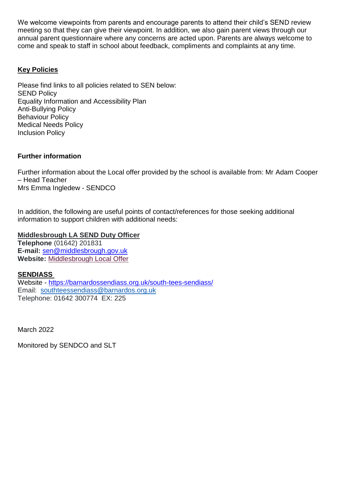We welcome viewpoints from parents and encourage parents to attend their child's SEND review meeting so that they can give their viewpoint. In addition, we also gain parent views through our annual parent questionnaire where any concerns are acted upon. Parents are always welcome to come and speak to staff in school about feedback, compliments and complaints at any time.

## **Key Policies**

Please find links to all policies related to SEN below: SEND Policy Equality Information and Accessibility Plan Anti-Bullying Policy Behaviour Policy Medical Needs Policy Inclusion Policy

#### **Further information**

Further information about the Local offer provided by the school is available from: Mr Adam Cooper – Head Teacher Mrs Emma Ingledew - SENDCO

In addition, the following are useful points of contact/references for those seeking additional information to support children with additional needs:

#### **Middlesbrough LA SEND Duty Officer**

**Telephone** (01642) 201831 **E-mail:** [sen@middlesbrough.gov.uk](mailto:sen@middlesbrough.gov.uk) **Website:** [Middlesbrough Local Offer](http://fis.middlesbrough.gov.uk/kb5/middlesbrough/fsd/localoffer.page?familychannelnew=8)

#### **SENDIASS**

Website - <https://barnardossendiass.org.uk/south-tees-sendiass/> Email: [southteessendiass@barnardos.org.uk](mailto:southteessendiass@barnardos.org.uk) Telephone: 01642 300774 EX: 225

March 2022

Monitored by SENDCO and SLT